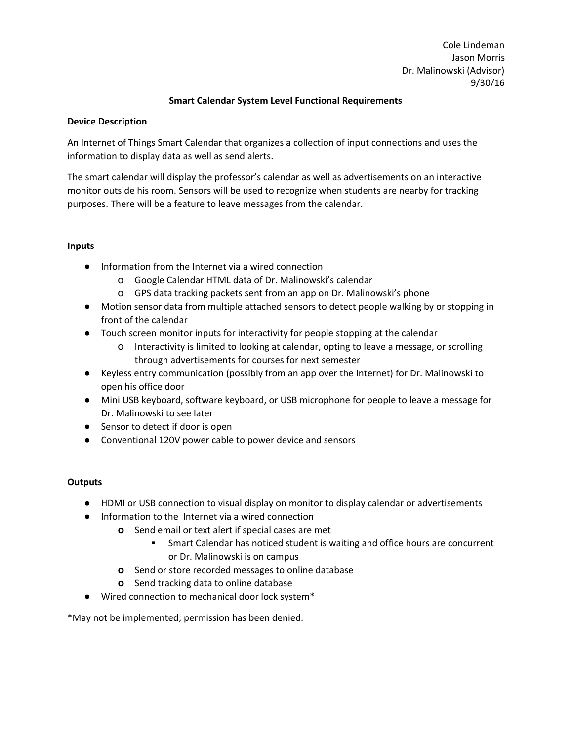Cole Lindeman Jason Morris Dr. Malinowski (Advisor) 9/30/16

# **Smart Calendar System Level Functional Requirements**

#### **Device Description**

An Internet of Things Smart Calendar that organizes a collection of input connections and uses the information to display data as well as send alerts.

The smart calendar will display the professor's calendar as well as advertisements on an interactive monitor outside his room. Sensors will be used to recognize when students are nearby for tracking purposes. There will be a feature to leave messages from the calendar.

## **Inputs**

- Information from the Internet via a wired connection
	- o Google Calendar HTML data of Dr. Malinowski's calendar
	- o GPS data tracking packets sent from an app on Dr. Malinowski's phone
- **●** Motion sensor data from multiple attached sensors to detect people walking by or stopping in front of the calendar
- **●** Touch screen monitor inputs for interactivity for people stopping at the calendar
	- o Interactivity is limited to looking at calendar, opting to leave a message, or scrolling through advertisements for courses for next semester
- **●** Keyless entry communication (possibly from an app over the Internet) for Dr. Malinowski to open his office door
- **●** Mini USB keyboard, software keyboard, or USB microphone for people to leave a message for Dr. Malinowski to see later
- **●** Sensor to detect if door is open
- Conventional 120V power cable to power device and sensors

## **Outputs**

- **●** HDMI or USB connection to visual display on monitor to display calendar or advertisements
- **●** Information to the Internet via a wired connection
	- **o** Send email or text alert if special cases are met
		- **▪** Smart Calendar has noticed student is waiting and office hours are concurrent or Dr. Malinowski is on campus
	- **o** Send or store recorded messages to online database
	- **o** Send tracking data to online database
- Wired connection to mechanical door lock system\*

\*May not be implemented; permission has been denied.